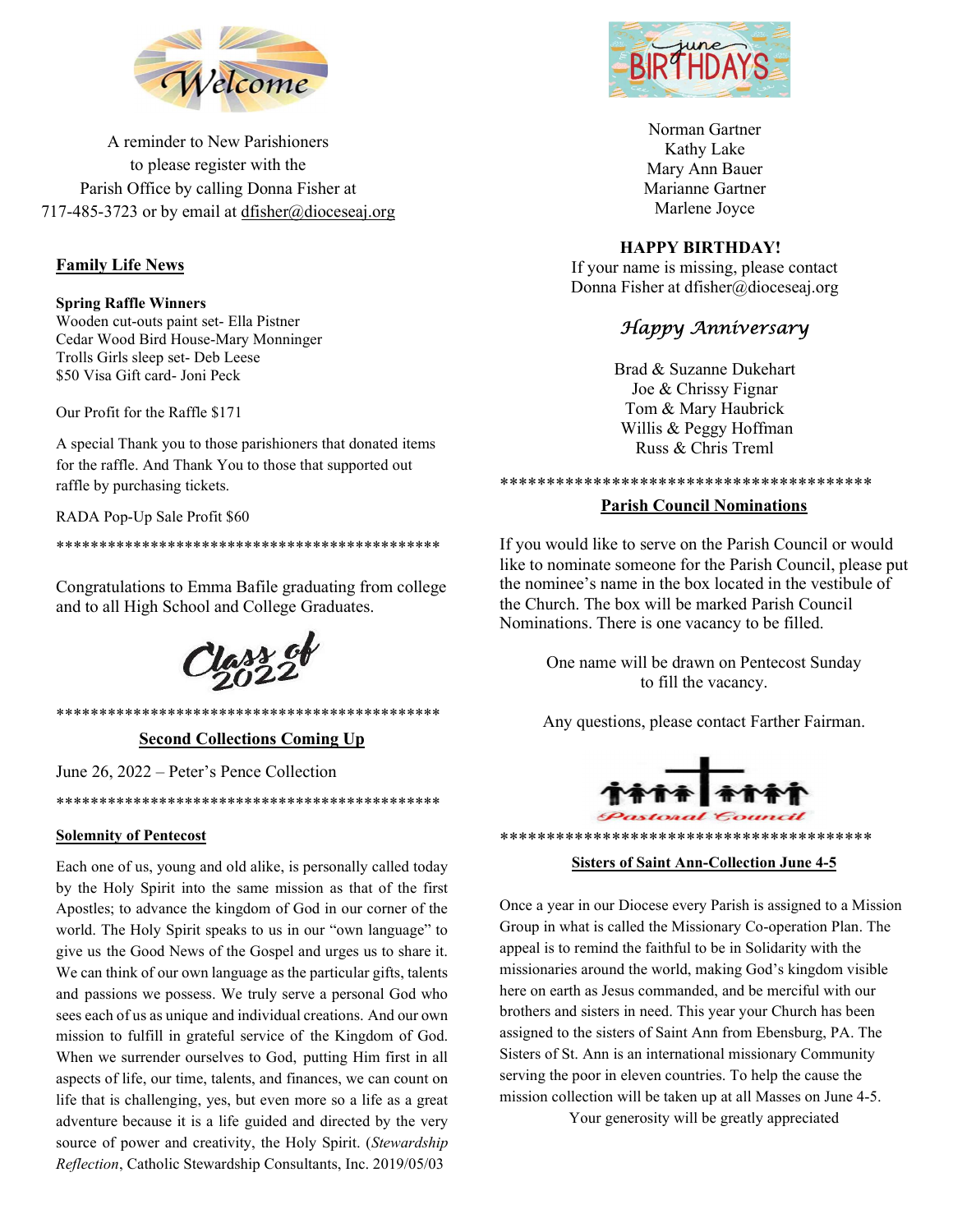

A reminder to New Parishioners to please register with the Parish Office by calling Donna Fisher at 717-485-3723 or by email at dfisher@dioceseaj.org

## Family Life News

Spring Raffle Winners Wooden cut-outs paint set- Ella Pistner Cedar Wood Bird House-Mary Monninger Trolls Girls sleep set- Deb Leese \$50 Visa Gift card- Joni Peck

Our Profit for the Raffle \$171

A special Thank you to those parishioners that donated items for the raffle. And Thank You to those that supported out raffle by purchasing tickets.

RADA Pop-Up Sale Profit \$60

\*\*\*\*\*\*\*\*\*\*\*\*\*\*\*\*\*\*\*\*\*\*\*\*\*\*\*\*\*\*\*\*\*\*\*\*\*\*\*\*\*\*\*\*\*

Congratulations to Emma Bafile graduating from college and to all High School and College Graduates.

lass of

\*\*\*\*\*\*\*\*\*\*\*\*\*\*\*\*\*\*\*\*\*\*\*\*\*\*\*\*\*\*\*\*\*\*\*\*\*\*\*\*\*\*\*\*\* Second Collections Coming Up

\*\*\*\*\*\*\*\*\*\*\*\*\*\*\*\*\*\*\*\*\*\*\*\*\*\*\*\*\*\*\*\*\*\*\*\*\*\*\*\*\*\*\*\*\*

June 26, 2022 – Peter's Pence Collection

Solemnity of Pentecost

Each one of us, young and old alike, is personally called today by the Holy Spirit into the same mission as that of the first Apostles; to advance the kingdom of God in our corner of the world. The Holy Spirit speaks to us in our "own language" to give us the Good News of the Gospel and urges us to share it. We can think of our own language as the particular gifts, talents and passions we possess. We truly serve a personal God who sees each of us as unique and individual creations. And our own mission to fulfill in grateful service of the Kingdom of God. When we surrender ourselves to God, putting Him first in all aspects of life, our time, talents, and finances, we can count on life that is challenging, yes, but even more so a life as a great adventure because it is a life guided and directed by the very source of power and creativity, the Holy Spirit. (Stewardship Reflection, Catholic Stewardship Consultants, Inc. 2019/05/03



Norman Gartner Kathy Lake Mary Ann Bauer Marianne Gartner Marlene Joyce

## HAPPY BIRTHDAY!

If your name is missing, please contact Donna Fisher at dfisher@dioceseaj.org

# Happy Anniversary

Brad & Suzanne Dukehart Joe & Chrissy Fignar Tom & Mary Haubrick Willis & Peggy Hoffman Russ & Chris Treml

\*\*\*\*\*\*\*\*\*\*\*\*\*\*\*\*\*\*\*\*\*\*\*\*\*\*\*\*\*\*\*\*\*\*\*\*\*\*\*\*

### Parish Council Nominations

If you would like to serve on the Parish Council or would like to nominate someone for the Parish Council, please put the nominee's name in the box located in the vestibule of the Church. The box will be marked Parish Council Nominations. There is one vacancy to be filled.

> One name will be drawn on Pentecost Sunday to fill the vacancy.

Any questions, please contact Farther Fairman.



#### Sisters of Saint Ann-Collection June 4-5

Once a year in our Diocese every Parish is assigned to a Mission Group in what is called the Missionary Co-operation Plan. The appeal is to remind the faithful to be in Solidarity with the missionaries around the world, making God's kingdom visible here on earth as Jesus commanded, and be merciful with our brothers and sisters in need. This year your Church has been assigned to the sisters of Saint Ann from Ebensburg, PA. The Sisters of St. Ann is an international missionary Community serving the poor in eleven countries. To help the cause the mission collection will be taken up at all Masses on June 4-5.

Your generosity will be greatly appreciated